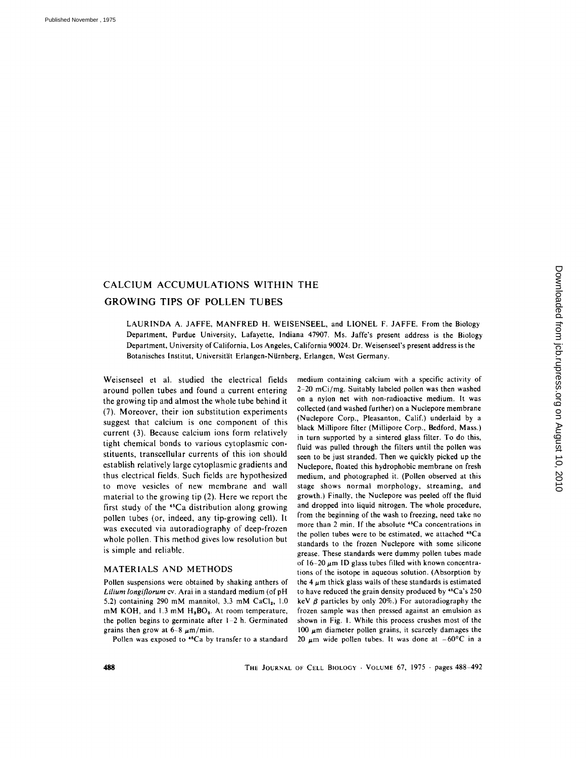# CALCIUM ACCUMULATIONS WITHIN THE GROWING TIPS OF POLLEN TUBES

LAURINDA A. JAFFE, MANFRED H. WEISENSEEL, and LIONEL F. JAFFE. From the Biology Department, Purdue University, Lafayette, Indiana 47907. Ms. Jaffe's present address is the Biology Department, University of California, Los Angeles, California 90024. Dr. Weisenseel's present address is the Botanisches Institut, Universitiit Erlangen-Niirnberg, Erlangen, West Germany.

Weisenseel et al. studied the electrical fields around pollen tubes and found a current entering the growing tip and almost the whole tube behind it (7). Moreover, their ion substitution experiments suggest that calcium is one component of this current (3). Because calcium ions form relatively tight chemical bonds to various cytoplasmic constituents, transcellular currents of this ion should establish relatively large cytoplasmic gradients and thus electrical fields. Such fields are hypothesized to move vesicles of new membrane and wall material to the growing tip (2). Here we report the first study of the  $45Ca$  distribution along growing pollen tubes (or, indeed, any tip-growing cell). It was executed via autoradiography of deep-frozen whole pollen. This method gives low resolution but is simple and reliable.

### MATERIALS AND METHODS

Pollen suspensions were obtained by shaking anthers of *Lilium longiflorum* cv. Arai in a standard medium (of pH 5.2) containing 290 mM mannitol, 3.3 mM  $CaCl<sub>2</sub>$ , 1.0 mM KOH, and 1.3 mM H<sub>3</sub>BO<sub>3</sub>. At room temperature, the pollen begins to germinate after  $1-2$  h. Germinated grains then grow at  $6-8 \mu m/min$ .

Pollen was exposed to <sup>45</sup>Ca by transfer to a standard

medium containing calcium with a specific activity of 2-20 mCi/mg. Suitably labeled pollen was then washed on a nylon net with non-radioactive medium. It was collected (and washed further) on a Nuclepore membrane (Nuclepore Corp., Pleasanton, Calif.) underlaid by a black Millipore filter (Millipore Corp., Bedford, Mass.) in turn supported by a sintered glass filter. To do this, fluid was pulled through the filters until the pollen was seen to be just stranded. Then we quickly picked up the Nuclepore, floated this hydrophobic membrane on fresh medium, and photographed it. (Pollen observed at this stage shows normal morphology, streaming, and growth.) Finally, the Nuclepore was peeled off the fluid and dropped into liquid nitrogen. The whole procedure, from the beginning of the wash to freezing, need take no more than 2 min. if the absolute 'sCa concentrations in the pollen tubes were to be estimated, we attached "Ca standards to the frozen Nuclepore with some silicone grease. These standards were dummy pollen tubes made of  $16-20 \mu m$  ID glass tubes filled with known concentrations of the isotope in aqueous solution. (Absorption by the 4  $\mu$ m thick glass walls of these standards is estimated to have reduced the grain density produced by  $45Ca's 250$ keV  $\beta$  particles by only 20%.) For autoradiography the frozen sample was then pressed against an emulsion as shown in Fig. 1. While this process crushes most of the 100  $\mu$ m diameter pollen grains, it scarcely damages the 20  $\mu$ m wide pollen tubes. It was done at  $-60^{\circ}$ C in a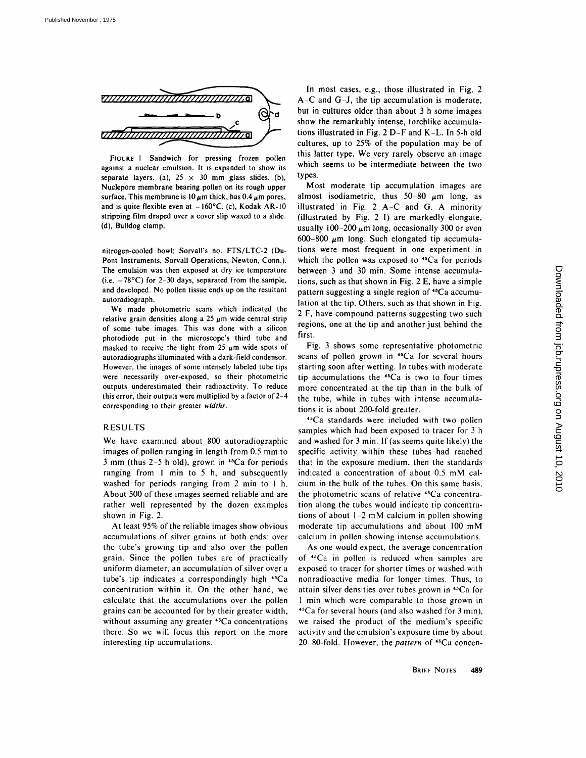

FIGURE 1 Sandwich for pressing frozen pollen against a nuclear emulsion. It is expanded to show its separate layers. (a),  $25 \times 30$  mm glass slides. (b), Nuclepore membrane bearing pollen on its rough upper surface. This membrane is  $10 \mu$ m thick, has  $0.4 \mu$ m pores, and is quite flexible even at  $-160^{\circ}$ C. (c), Kodak AR-10 stripping film draped over a cover slip waxed to a slide. (d), Bulldog clamp.

nitrogen-cooled bowl: Sorvall's no. FTS/LTC-2 (Du-Pont Instruments, Sorvall Operations, Newton, Conn.). The emulsion was then exposed at dry ice temperature (i.e.  $-78^{\circ}$ C) for 2-30 days, separated from the sample, and developed. No pollen tissue ends up on the resultant autoradiograph.

We made photometric scans which indicated the relative grain densities along a 25  $\mu$ m wide central strip of some tube images. This was done with a silicon photodiode put in the microscope's third tube and masked to receive the light from 25  $\mu$ m wide spots of autoradiographs illuminated with a dark-field condensor. However, the images of some intensely labeled tube tips were necessarily over-exposed, so their photometric outputs underestimated their radioactivity. To reduce this error, their outputs were multiplied by a factor of 2-4 corresponding to their greater *widths.* 

## RESULTS

We have examined about 800 autoradiographic images of pollen ranging in length from 0.5 mm to 3 mm (thus  $2-5$  h old), grown in  $45Ca$  for periods ranging from 1 min to 5 h, and subsequently washed for periods ranging from 2 min to 1 h. About 500 of these images seemed reliable and are rather well represented by the dozen examples shown in Fig. 2.

At least 95% of the reliable images show obvious accumulations of silver grains at both ends: over the tube's growing tip and also over the pollen grain. Since the pollen tubes are of practically uniform diameter, an accumulation of silver over a tube's tip indicates a correspondingly high  $45Ca$ concentration within it. On the other hand, we calculate that the accumulations over the pollen grains can be accounted for by their greater width, without assuming any greater <sup>45</sup>Ca concentrations there. So we will focus this report on the more interesting tip accumulations.

In most cases, e.g., those illustrated in Fig. 2 A-C and G-J, the tip accumulation is moderate, but in cultures older than about 3 h some images show the remarkably intense, torchlike accumulations illustrated in Fig. 2 D-F and K-L. In 5-h old cultures, up to 25% of the population may be of this latter type. We very rarely observe an image which seems to be intermediate between the two types.

Most moderate tip accumulation images are almost isodiametric, thus  $50-80 \mu m$  long, as illustrated in Fig. 2  $A-C$  and G. A minority (illustrated by Fig. 2 I) are markedly elongate, usually 100-200  $\mu$ m long, occasionally 300 or even 600-800  $\mu$ m long. Such elongated tip accumulations were most frequent in one experiment in which the pollen was exposed to <sup>45</sup>Ca for periods between 3 and 30 min. Some intense accumulations, such as that shown in Fig. 2 E, have a simple pattern suggesting a single region of <sup>45</sup>Ca accumulation at the tip. Others, such as that shown in Fig. 2 F, have compound patterns suggesting two such regions, one at the tip and another just behind the first.

Fig. 3 shows some representative photometric scans of pollen grown in <sup>45</sup>Ca for several hours starting soon after wetting. In tubes with moderate tip accumulations the  $45Ca$  is two to four times more concentrated at the tip than in the bulk of the tube, while in tubes with intense accumulations it is about 200-fold greater.

45Ca standards were included with two pollen samples which had been exposed to tracer for 3 h and washed for 3 min. If (as seems quite likely) the specific activity within these tubes had reached that in the exposure medium, then the standards indicated a concentration of about 0.5 mM calcium in the bulk of the tubes. On this same basis, the photometric scans of relative 45Ca concentration along the tubes would indicate tip concentrations of about 1-2 mM calcium in pollen showing moderate tip accumulations and about 100 mM calcium in pollen showing intense accumulations.

As one would expect, the average concentration of  $*$ <sup>5</sup>Ca in pollen is reduced when samples are exposed to tracer for shorter times or washed with nonradioactive media for longer times. Thus, to attain silver densities over tubes grown in <sup>45</sup>Ca for 1 min which were comparable to those grown in  $\text{I}^{\text{5}}$ Ca for several hours (and also washed for 3 min), we raised the product of the medium's specific activity and the emulsion's exposure time by about 20 80-fold. However, the *pattern* of 45Ca concen-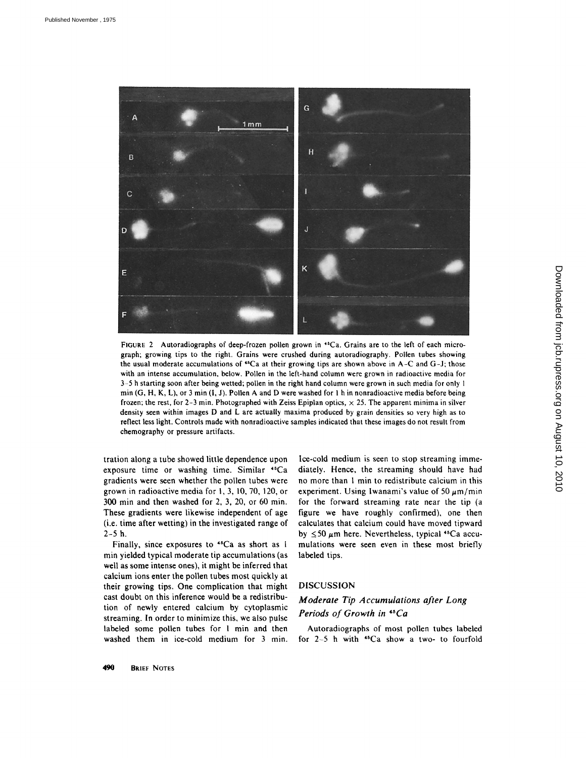

FIGURE 2 Autoradiographs of deep-frozen pollen grown in <sup>45</sup>Ca. Grains are to the left of each micrograph; growing tips to the right. Grains were crushed during autoradiography. Pollen tubes showing the usual moderate accumulations of  $^{45}Ca$  at their growing tips are shown above in A-C and G-J; those with an intense accumulation, below. Pollen in the left-hand column were grown in radioactive media for 3-5 h starting soon after being wetted; pollen in the right hand column were grown in such media for only 1 min  $(G, H, K, L)$ , or 3 min  $(I, J)$ . Pollen A and D were washed for 1 h in nonradioactive media before being frozen; the rest, for 2-3 min. Photographed with Zeiss Epiplan optics,  $\times$  25. The apparent minima in silver density seen within images D and L are actually maxima produced by grain densities so very high as to reflect less light. Controls made with nonradioactive samples indicated that these images do not result from chemography or pressure artifacts.

tration along a tube showed little dependence upon exposure time or washing time. Similar <sup>45</sup>Ca gradients were seen whether the pollen tubes were grown in radioactive media for I, 3, 10, 70, 120, or  $300$  min and then washed for 2, 3, 20, or 60 min. These gradients were likewise independent of age (i.e. time after wetting) in the investigated range of 2-5 h.

Finally, since exposures to  $45Ca$  as short as 1 min yielded typical moderate tip accumulations (as well as some intense ones), it might be inferred that calcium ions enter the pollen tubes most quickly at their growing tips. One complication that might cast doubt on this inference would be a redistribution of newly entered calcium by cytoplasmic streaming. In order to minimize this, we also pulse labeled some pollen tubes for 1 min and then washed them in ice-cold medium for 3 min.

Ice-cold medium is seen to stop streaming immediately. Hence, the streaming should have had no more than 1 min to redistribute calcium in this experiment. Using Iwanami's value of 50  $\mu$ m/min for the forward streaming rate near the tip (a figure we have roughly confirmed), one then calculates that calcium could have moved tipward by  $\leq 50 \mu m$  here. Nevertheless, typical <sup>45</sup>Ca accumulations were seen even in these most briefly labeled tips.

## DISCUSSION

## *Moderate Tip Accumulations after Long Periods of Growth in 4~Ca*

Autoradiographs of most pollen tubes labeled for  $2-5$  h with  $45Ca$  show a two- to fourfold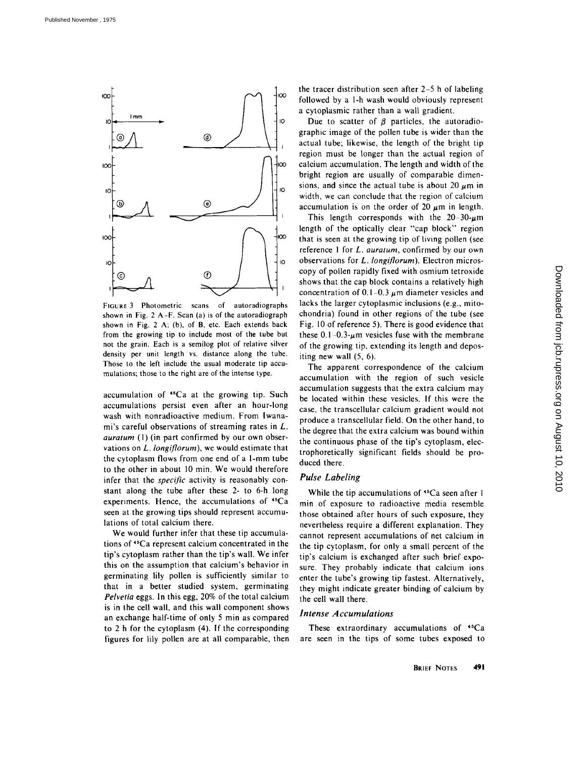

FIGURE 3 Photometric scans of autoradiographs shown in Fig. 2 A-F. Scan (a) is of the autoradiograph shown in Fig. 2 A; (b), of B, etc. Each extends back from the growing tip to include most of the tube but not the grain. Each is a semilog plot of relative silver density per unit length vs. distance along the tube. Those to the left include the usual moderate tip accumulations; those to the right are of the intense type.

accumulation of \*sCa at the growing tip. Such accumulations persist even after an hour-long wash with nonradioactive medium. From lwanami's careful observations of streaming rates in L. *auratum* (1) (in part confirmed by our own observations on *L. longiflorum),* we would estimate that the cytoplasm flows from one end of a 1-mm tube to the other in about 10 min. We would therefore infer that the *specific* activity is reasonably constant along the tube after these 2- to 6-h long experiments. Hence, the accumulations of 'sCa seen at the growing tips should represent accumulations of total calcium there.

We would further infer that these tip accumulations of 'sCa represent calcium concentrated in the tip's cytoplasm rather than the tip's wall. We infer this on the assumption that calcium's behavior in germinating lily pollen is sufficiently similar to that in a better studied system, germinating *Pelvetia* eggs. In this egg, 20% of the total calcium is in the cell wall, and this wall component shows an exchange half-time of only 5 min as compared to 2 h for the cytoplasm (4). If the corresponding figures for lily pollen are at all comparable, then the tracer distribution seen after 2-5 h of labeling followed by a l-h wash would obviously represent a cytoplasmic rather than a wall gradient.

Due to scatter of  $\beta$  particles, the autoradiographic image of the pollen tube is wider than the actual tube; likewise, the length of the bright tip region must be longer than the actual region of calcium accumulation. The length and width of the bright region are usually of comparable dimensions, and since the actual tube is about 20  $\mu$ m in width, we can conclude that the region of calcium accumulation is on the order of 20  $\mu$ m in length.

This length corresponds with the  $20-30-\mu m$ length of the optically clear "cap block" region that is seen at the growing tip of living pollen (see reference 1 for *L. auratum*, confirmed by our own observations for *L. longiflorum*). Electron microscopy of pollen rapidly fixed with osmium tetroxide shows that the cap block contains a relatively high concentration of 0.1–0.3  $\mu$ m diameter vesicles and lacks the larger cytoplasmic inclusions (e.g., mitochondria) found in other regions of the tube (see Fig. 10 of reference 5). There is good evidence that these  $0.1-0.3~\mu$ m vesicles fuse with the membrane of the growing tip, extending its length and depositing new wall (5, 6).

The apparent correspondence of the calcium accumulation with the region of such vesicle accumulation suggests that the extra calcium may be located within these vesicles. If this were the case, the transcellular calcium gradient would not produce a transcellular field, On the other hand, to the degree that the extra calcium was bound within the continuous phase of the tip's cytoplasm, electrophoretically significant fields should be produced there.

### *Pulse Labeling*

While the tip accumulations of <sup>45</sup>Ca seen after 1 min of exposure to radioactive media resemble those obtained after hours of such exposure, they nevertheless require a different explanation. They cannot represent accumulations of net calcium in the tip cytoplasm, for only a small percent of the tip's calcium is exchanged after such brief exposure. They probably indicate that calcium ions enter the tube's growing tip fastest. Alternatively, they might indicate greater binding of calcium by the cell wall there.

#### *Intense Accumulations*

These extraordinary accumulations of 45Ca are seen in the tips of some tubes exposed to